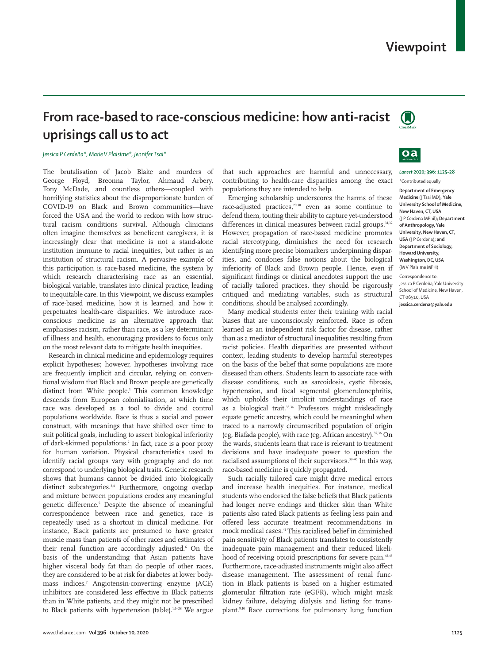# **From race-based to race-conscious medicine: how anti-racist uprisings call us to act**

## *Jessica P Cerdeña\*, Marie V Plaisime\*, Jennifer Tsai\**

The brutalisation of Jacob Blake and murders of George Floyd, Breonna Taylor, Ahmaud Arbery, Tony McDade, and countless others—coupled with horrifying statistics about the disproportionate burden of COVID-19 on Black and Brown communities—have forced the USA and the world to reckon with how structural racism conditions survival. Although clinicians often imagine themselves as benefcent caregivers, it is increasingly clear that medicine is not a stand-alone institution immune to racial inequities, but rather is an institution of structural racism. A pervasive example of this participation is race-based medicine, the system by which research characterising race as an essential, biological variable, translates into clinical practice, leading to inequitable care. In this Viewpoint, we discuss examples of race-based medicine, how it is learned, and how it perpetuates health-care disparities. We introduce raceconscious medicine as an alternative approach that emphasises racism, rather than race, as a key determinant of illness and health, encouraging providers to focus only on the most relevant data to mitigate health inequities.

Research in clinical medicine and epidemiology requires explicit hypotheses; however, hypotheses involving race are frequently implicit and circular, relying on conventional wisdom that Black and Brown people are genetically distinct from White people.1 This common knowledge descends from European colonialisation, at which time race was developed as a tool to divide and control populations worldwide. Race is thus a social and power construct, with meanings that have shifted over time to suit political goals, including to assert biological inferiority of dark-skinned populations.2 In fact, race is a poor proxy for human variation. Physical characteristics used to identify racial groups vary with geography and do not correspond to underlying biological traits. Genetic research shows that humans cannot be divided into biologically distinct subcategories.<sup>3,4</sup> Furthermore, ongoing overlap and mixture between populations erodes any meaningful genetic difference.<sup>5</sup> Despite the absence of meaningful correspondence between race and genetics, race is repeatedly used as a shortcut in clinical medicine. For instance, Black patients are presumed to have greater muscle mass than patients of other races and estimates of their renal function are accordingly adjusted.6 On the basis of the understanding that Asian patients have higher visceral body fat than do people of other races, they are considered to be at risk for diabetes at lower bodymass indices.7 Angiotensin-converting enzyme (ACE) inhibitors are considered less effective in Black patients than in White patients, and they might not be prescribed to Black patients with hypertension (table).<sup>1,6–28</sup> We argue

that such approaches are harmful and unnecessary, contributing to health-care disparities among the exact populations they are intended to help.

Emerging scholarship underscores the harms of these race-adjusted practices,<sup>29,30</sup> even as some continue to defend them, touting their ability to capture yet-understood differences in clinical measures between racial groups.<sup>31,32</sup> However, propagation of race-based medicine promotes racial stereotyping, diminishes the need for research identifying more precise biomarkers underpinning disparities, and condones false notions about the biological inferiority of Black and Brown people. Hence, even if significant findings or clinical anecdotes support the use of racially tailored practices, they should be rigorously critiqued and mediating variables, such as structural conditions, should be analysed accordingly.

Many medical students enter their training with racial biases that are unconsciously reinforced. Race is often learned as an independent risk factor for disease, rather than as a mediator of structural inequalities resulting from racist policies. Health disparities are presented without context, leading students to develop harmful stereotypes on the basis of the belief that some populations are more diseased than others. Students learn to associate race with disease conditions, such as sarcoidosis, cystic fibrosis, hypertension, and focal segmental glomerulonephritis, which upholds their implicit understandings of race as a biological trait.<sup>33,34</sup> Professors might misleadingly equate genetic ancestry, which could be meaningful when traced to a narrowly circumscribed population of origin (eg, Biafada people), with race (eg, African ancestry).35,36 On the wards, students learn that race is relevant to treatment decisions and have inadequate power to question the racialised assumptions of their supervisors.<sup>37-40</sup> In this way, race-based medicine is quickly propagated.

Such racially tailored care might drive medical errors and increase health inequities. For instance, medical students who endorsed the false beliefs that Black patients had longer nerve endings and thicker skin than White patients also rated Black patients as feeling less pain and offered less accurate treatment recommendations in mock medical cases.41 This racialised belief in diminished pain sensitivity of Black patients translates to consistently inadequate pain management and their reduced likelihood of receiving opioid prescriptions for severe pain.<sup>42,43</sup> Furthermore, race-adjusted instruments might also affect disease management. The assessment of renal function in Black patients is based on a higher estimated glomerular filtration rate (eGFR), which might mask kidney failure, delaying dialysis and listing for transplant.9,10 Race corrections for pulmonary lung function





*Lancet* **2020; 396: 1125–28** \*Contributed equally

**Department of Emergency Medicine** (J Tsai MD)**, Yale University School of Medicine, New Haven, CT, USA**  (J P Cerdeña MPhil)**; Department of Anthropology, Yale University, New Haven, CT, USA** (J P Cerdeña)**; and Department of Sociology, Howard University, Washington, DC, USA** (M V Plaisime MPH)

Correspondence to: Jessica P Cerdeña, Yale University School of Medicine, New Haven, CT 06510, USA **jessica.cerdena@yale.edu**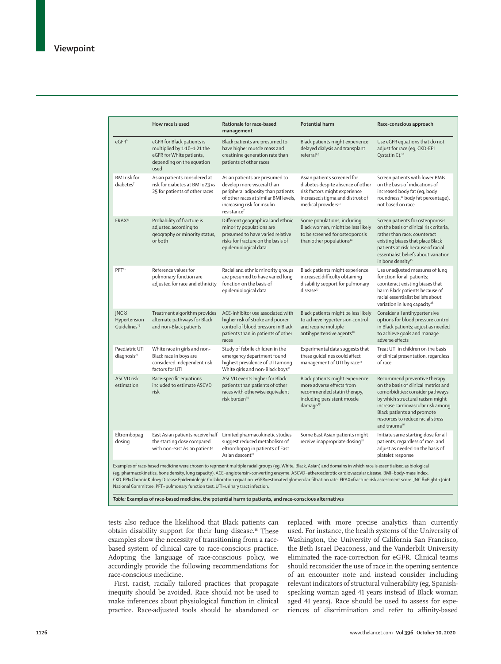|                                                                                                                                                                                                                                                                                                                                                                                                                                                                                                                                                                                              | How race is used                                                                                                           | Rationale for race-based<br>management                                                                                                                                                                | <b>Potential harm</b>                                                                                                                                                    | Race-conscious approach                                                                                                                                                                                                                                                           |
|----------------------------------------------------------------------------------------------------------------------------------------------------------------------------------------------------------------------------------------------------------------------------------------------------------------------------------------------------------------------------------------------------------------------------------------------------------------------------------------------------------------------------------------------------------------------------------------------|----------------------------------------------------------------------------------------------------------------------------|-------------------------------------------------------------------------------------------------------------------------------------------------------------------------------------------------------|--------------------------------------------------------------------------------------------------------------------------------------------------------------------------|-----------------------------------------------------------------------------------------------------------------------------------------------------------------------------------------------------------------------------------------------------------------------------------|
| eGFR <sup>6</sup>                                                                                                                                                                                                                                                                                                                                                                                                                                                                                                                                                                            | eGFR for Black patients is<br>multiplied by 1.16-1.21 the<br>eGFR for White patients,<br>depending on the equation<br>used | Black patients are presumed to<br>have higher muscle mass and<br>creatinine generation rate than<br>patients of other races                                                                           | Black patients might experience<br>delayed dialysis and transplant<br>referral <sup>8,9</sup>                                                                            | Use eGFR equations that do not<br>adjust for race (eq, CKD-EPI<br>Cystatin C). <sup>10</sup>                                                                                                                                                                                      |
| <b>BMI</b> risk for<br>diabetes <sup>7</sup>                                                                                                                                                                                                                                                                                                                                                                                                                                                                                                                                                 | Asian patients considered at<br>risk for diabetes at BMI ≥23 vs<br>25 for patients of other races                          | Asian patients are presumed to<br>develop more visceral than<br>peripheral adiposity than patients<br>of other races at similar BMI levels,<br>increasing risk for insulin<br>resistance <sup>7</sup> | Asian patients screened for<br>diabetes despite absence of other<br>risk factors might experience<br>increased stigma and distrust of<br>medical providers <sup>11</sup> | Screen patients with lower BMIs<br>on the basis of indications of<br>increased body fat (eq, body<br>roundness, <sup>12</sup> body fat percentage),<br>not based on race                                                                                                          |
| FRAX <sup>13</sup>                                                                                                                                                                                                                                                                                                                                                                                                                                                                                                                                                                           | Probability of fracture is<br>adjusted according to<br>geography or minority status,<br>or both                            | Different geographical and ethnic<br>minority populations are<br>presumed to have varied relative<br>risks for fracture on the basis of<br>epidemiological data                                       | Some populations, including<br>Black women, might be less likely<br>to be screened for osteoporosis<br>than other populations <sup>14</sup>                              | Screen patients for osteoporosis<br>on the basis of clinical risk criteria,<br>rather than race; counteract<br>existing biases that place Black<br>patients at risk because of racial<br>essentialist beliefs about variation<br>in bone density <sup>15</sup>                    |
| PFT <sup>16</sup>                                                                                                                                                                                                                                                                                                                                                                                                                                                                                                                                                                            | Reference values for<br>pulmonary function are<br>adjusted for race and ethnicity                                          | Racial and ethnic minority groups<br>are presumed to have varied lung<br>function on the basis of<br>epidemiological data                                                                             | Black patients might experience<br>increased difficulty obtaining<br>disability support for pulmonary<br>disease <sup>17</sup>                                           | Use unadjusted measures of lung<br>function for all patients;<br>counteract existing biases that<br>harm Black patients because of<br>racial essentialist beliefs about<br>variation in lung capacity <sup>18</sup>                                                               |
| JNC <sub>8</sub><br>Hypertension<br>Guidelines <sup>19</sup>                                                                                                                                                                                                                                                                                                                                                                                                                                                                                                                                 | Treatment algorithm provides<br>alternate pathways for Black<br>and non-Black patients                                     | ACE-inhibitor use associated with<br>higher risk of stroke and poorer<br>control of blood pressure in Black<br>patients than in patients of other<br>races                                            | Black patients might be less likely<br>to achieve hypertension control<br>and require multiple<br>antihypertensive agents <sup>20</sup>                                  | Consider all antihypertensive<br>options for blood pressure control<br>in Black patients; adjust as needed<br>to achieve goals and manage<br>adverse effects                                                                                                                      |
| Paediatric UTI<br>diagnosis <sup>21</sup>                                                                                                                                                                                                                                                                                                                                                                                                                                                                                                                                                    | White race in girls and non-<br>Black race in boys are<br>considered independent risk<br>factors for UTI                   | Study of febrile children in the<br>emergency department found<br>highest prevalence of UTI among<br>White girls and non-Black boys <sup>22</sup>                                                     | Experimental data suggests that<br>these quidelines could affect<br>management of UTI by race <sup>23</sup>                                                              | Treat UTI in children on the basis<br>of clinical presentation, regardless<br>of race                                                                                                                                                                                             |
| <b>ASCVD</b> risk<br>estimation                                                                                                                                                                                                                                                                                                                                                                                                                                                                                                                                                              | Race-specific equations<br>included to estimate ASCVD<br>risk                                                              | ASCVD events higher for Black<br>patients than patients of other<br>races with otherwise equivalent<br>risk burden <sup>24</sup>                                                                      | Black patients might experience<br>more adverse effects from<br>recommended statin therapy,<br>including persistent muscle<br>damage <sup>25</sup>                       | Recommend preventive therapy<br>on the basis of clinical metrics and<br>comorbidities; consider pathways<br>by which structural racism might<br>increase cardiovascular risk among<br>Black patients and promote<br>resources to reduce racial stress<br>and trauma <sup>26</sup> |
| Eltrombopag<br>dosing                                                                                                                                                                                                                                                                                                                                                                                                                                                                                                                                                                        | East Asian patients receive half<br>the starting dose compared<br>with non-east Asian patients                             | Limited pharmacokinetic studies<br>suggest reduced metabolism of<br>eltrombopag in patients of East<br>Asian descent <sup>27</sup>                                                                    | Some East Asian patients might<br>receive inappropriate dosing <sup>28</sup>                                                                                             | Initiate same starting dose for all<br>patients, regardless of race, and<br>adjust as needed on the basis of<br>platelet response                                                                                                                                                 |
| Examples of race-based medicine were chosen to represent multiple racial groups (eg, White, Black, Asian) and domains in which race is essentialised as biological<br>(eg, pharmacokinetics, bone density, lung capacity). ACE=angiotensin-converting enzyme. ASCVD=atherosclerotic cardiovascular disease. BMI=body-mass index.<br>CKD-EPI=Chronic Kidney Disease Epidemiologic Collaboration equation. eGFR=estimated glomerular filtration rate. FRAX=fracture risk assessment score. JNC 8=Eighth Joint<br>National Committee. PFT=pulmonary function test. UTI=urinary tract infection. |                                                                                                                            |                                                                                                                                                                                                       |                                                                                                                                                                          |                                                                                                                                                                                                                                                                                   |

*Table:* **Examples of race-based medicine, the potential harm to patients, and race-conscious alternatives**

tests also reduce the likelihood that Black patients can obtain disability support for their lung disease.<sup>18</sup> These examples show the necessity of transitioning from a racebased system of clinical care to race-conscious practice. Adopting the language of race-conscious policy, we accordingly provide the following recommendations for race-conscious medicine.

First, racist, racially tailored practices that propagate inequity should be avoided. Race should not be used to make inferences about physiological function in clinical practice. Race-adjusted tools should be abandoned or replaced with more precise analytics than currently used. For instance, the health systems of the University of Washington, the University of California San Francisco, the Beth Israel Deaconess, and the Vanderbilt University eliminated the race-correction for eGFR. Clinical teams should reconsider the use of race in the opening sentence of an encounter note and instead consider including relevant indicators of structural vulnerability (eg, Spanishspeaking woman aged 41 years instead of Black woman aged 41 years). Race should be used to assess for experiences of discrimination and refer to affinity-based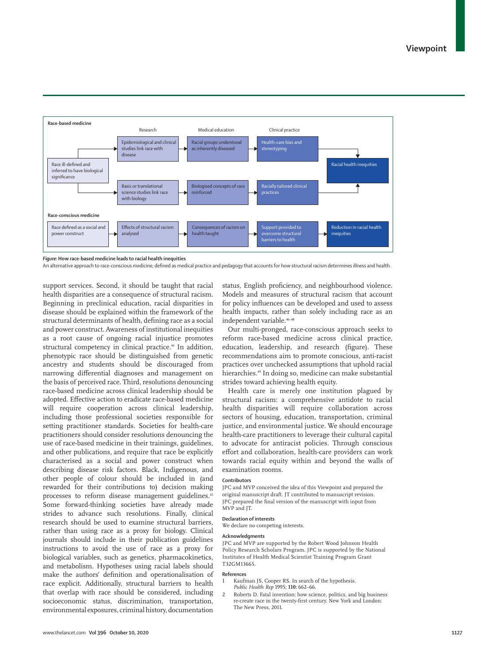

### *Figure:* **How race-based medicine leads to racial health inequities**

An alternative approach to race-conscious medicine; defined as medical practice and pedagogy that accounts for how structural racism determines illness and health.

support services. Second, it should be taught that racial health disparities are a consequence of structural racism. Beginning in preclinical education, racial disparities in disease should be explained within the framework of the structural determinants of health, defining race as a social and power construct. Awareness of institutional inequities as a root cause of ongoing racial injustice promotes structural competency in clinical practice.<sup>44</sup> In addition, phenotypic race should be distinguished from genetic ancestry and students should be discouraged from narrowing differential diagnoses and management on the basis of perceived race. Third, resolutions denouncing race-based medicine across clinical leadership should be adopted. Effective action to eradicate race-based medicine will require cooperation across clinical leadership, including those professional societies responsible for setting practitioner standards. Societies for health-care practitioners should consider resolutions denouncing the use of race-based medicine in their trainings, guidelines, and other publications, and require that race be explicitly characterised as a social and power construct when describing disease risk factors. Black, Indigenous, and other people of colour should be included in (and rewarded for their contributions to) decision making processes to reform disease management guidelines.<sup>45</sup> Some forward-thinking societies have already made strides to advance such resolutions. Finally, clinical research should be used to examine structural barriers, rather than using race as a proxy for biology. Clinical journals should include in their publication guidelines instructions to avoid the use of race as a proxy for biological variables, such as genetics, pharmacokinetics, and metabolism. Hypotheses using racial labels should make the authors' definition and operationalisation of race explicit. Additionally, structural barriers to health that overlap with race should be considered, including socioeconomic status, discrimination, transportation, environmental exposures, criminal history, documentation

status, English proficiency, and neighbourhood violence. Models and measures of structural racism that account for policy influences can be developed and used to assess health impacts, rather than solely including race as an independent variable.<sup>46-48</sup>

Our multi-pronged, race-conscious approach seeks to reform race-based medicine across clinical practice, education, leadership, and research (figure). These recommendations aim to promote conscious, anti-racist practices over unchecked assumptions that uphold racial hierarchies.49 In doing so, medicine can make substantial strides toward achieving health equity.

Health care is merely one institution plagued by structural racism: a comprehensive antidote to racial health disparities will require collaboration across sectors of housing, education, transportation, criminal justice, and environmental justice. We should encourage health-care practitioners to leverage their cultural capital to advocate for antiracist policies. Through conscious effort and collaboration, health-care providers can work towards racial equity within and beyond the walls of examination rooms.

#### **Contributors**

JPC and MVP conceived the idea of this Viewpoint and prepared the original manuscript draft. JT contributed to manuscript revision. JPC prepared the final version of the manuscript with input from MVP and JT.

# **Declaration of interests**

We declare no competing interests.

## **Acknowledgments**

JPC and MVP are supported by the Robert Wood Johnson Health Policy Research Scholars Program. JPC is supported by the National Institutes of Health Medical Scientist Training Program Grant T32GM13665.

#### **References**

- 1 Kaufman JS, Cooper RS. In search of the hypothesis. *Public Health Rep* 1995; **110:** 662–66.
- 2 Roberts D. Fatal invention: how science, politics, and big business re-create race in the twenty-first century. New York and London: The New Press, 2011.